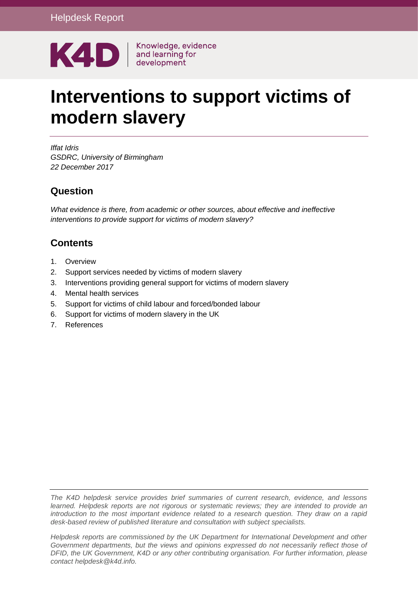

# **Interventions to support victims of modern slavery**

*Iffat Idris GSDRC, University of Birmingham 22 December 2017*

### **Question**

*What evidence is there, from academic or other sources, about effective and ineffective interventions to provide support for victims of modern slavery?* 

### **Contents**

- 1. [Overview](#page-1-0)
- 2. [Support services needed by victims of modern slavery](#page-2-0)
- 3. [Interventions providing general support for victims of modern slavery](#page-3-0)
- 4. [Mental health services](#page-7-0)
- 5. [Support for victims of child labour and forced/bonded labour](#page-8-0)
- 6. [Support for victims of modern slavery in the UK](#page-10-0)
- 7. [References](#page-14-0)

*The K4D helpdesk service provides brief summaries of current research, evidence, and lessons learned. Helpdesk reports are not rigorous or systematic reviews; they are intended to provide an introduction to the most important evidence related to a research question. They draw on a rapid desk-based review of published literature and consultation with subject specialists.* 

*Helpdesk reports are commissioned by the UK Department for International Development and other Government departments, but the views and opinions expressed do not necessarily reflect those of DFID, the UK Government, K4D or any other contributing organisation. For further information, please contact helpdesk@k4d.info.*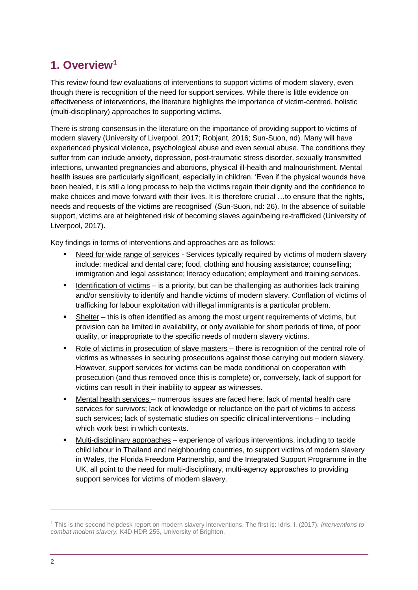# <span id="page-1-0"></span>**1. Overview<sup>1</sup>**

This review found few evaluations of interventions to support victims of modern slavery, even though there is recognition of the need for support services. While there is little evidence on effectiveness of interventions, the literature highlights the importance of victim-centred, holistic (multi-disciplinary) approaches to supporting victims.

There is strong consensus in the literature on the importance of providing support to victims of modern slavery (University of Liverpool, 2017; Robjant, 2016; Sun-Suon, nd). Many will have experienced physical violence, psychological abuse and even sexual abuse. The conditions they suffer from can include anxiety, depression, post-traumatic stress disorder, sexually transmitted infections, unwanted pregnancies and abortions, physical ill-health and malnourishment. Mental health issues are particularly significant, especially in children. 'Even if the physical wounds have been healed, it is still a long process to help the victims regain their dignity and the confidence to make choices and move forward with their lives. It is therefore crucial …to ensure that the rights, needs and requests of the victims are recognised' (Sun-Suon, nd: 26). In the absence of suitable support, victims are at heightened risk of becoming slaves again/being re-trafficked (University of Liverpool, 2017).

Key findings in terms of interventions and approaches are as follows:

- Need for wide range of services Services typically required by victims of modern slavery include: medical and dental care; food, clothing and housing assistance; counselling; immigration and legal assistance; literacy education; employment and training services.
- **EXECT** Identification of victims is a priority, but can be challenging as authorities lack training and/or sensitivity to identify and handle victims of modern slavery. Conflation of victims of trafficking for labour exploitation with illegal immigrants is a particular problem.
- **•** Shelter this is often identified as among the most urgent requirements of victims, but provision can be limited in availability, or only available for short periods of time, of poor quality, or inappropriate to the specific needs of modern slavery victims.
- Role of victims in prosecution of slave masters there is recognition of the central role of victims as witnesses in securing prosecutions against those carrying out modern slavery. However, support services for victims can be made conditional on cooperation with prosecution (and thus removed once this is complete) or, conversely, lack of support for victims can result in their inability to appear as witnesses.
- Mental health services numerous issues are faced here: lack of mental health care services for survivors; lack of knowledge or reluctance on the part of victims to access such services; lack of systematic studies on specific clinical interventions – including which work best in which contexts.
- Multi-disciplinary approaches experience of various interventions, including to tackle child labour in Thailand and neighbouring countries, to support victims of modern slavery in Wales, the Florida Freedom Partnership, and the Integrated Support Programme in the UK, all point to the need for multi-disciplinary, multi-agency approaches to providing support services for victims of modern slavery.

<sup>1</sup> This is the second helpdesk report on modern slavery interventions. The first is: Idris, I. (2017). *Interventions to combat modern slavery.* K4D HDR 255, University of Brighton.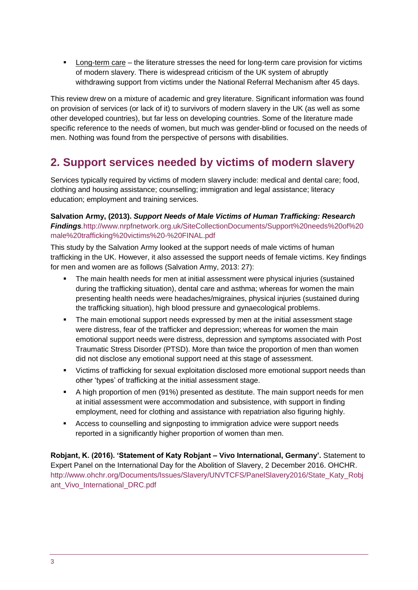▪ Long-term care – the literature stresses the need for long-term care provision for victims of modern slavery. There is widespread criticism of the UK system of abruptly withdrawing support from victims under the National Referral Mechanism after 45 days.

This review drew on a mixture of academic and grey literature. Significant information was found on provision of services (or lack of it) to survivors of modern slavery in the UK (as well as some other developed countries), but far less on developing countries. Some of the literature made specific reference to the needs of women, but much was gender-blind or focused on the needs of men. Nothing was found from the perspective of persons with disabilities.

## <span id="page-2-0"></span>**2. Support services needed by victims of modern slavery**

Services typically required by victims of modern slavery include: medical and dental care; food, clothing and housing assistance; counselling; immigration and legal assistance; literacy education; employment and training services.

#### **Salvation Army, (2013).** *Support Needs of Male Victims of Human Trafficking: Research Findings.*[http://www.nrpfnetwork.org.uk/SiteCollectionDocuments/Support%20needs%20of%20](http://www.nrpfnetwork.org.uk/SiteCollectionDocuments/Support%20needs%20of%20male%20trafficking%20victims%20-%20FINAL.pdf) [male%20trafficking%20victims%20-%20FINAL.pdf](http://www.nrpfnetwork.org.uk/SiteCollectionDocuments/Support%20needs%20of%20male%20trafficking%20victims%20-%20FINAL.pdf)

This study by the Salvation Army looked at the support needs of male victims of human trafficking in the UK. However, it also assessed the support needs of female victims. Key findings for men and women are as follows (Salvation Army, 2013: 27):

- **•** The main health needs for men at initial assessment were physical injuries (sustained during the trafficking situation), dental care and asthma; whereas for women the main presenting health needs were headaches/migraines, physical injuries (sustained during the trafficking situation), high blood pressure and gynaecological problems.
- **•** The main emotional support needs expressed by men at the initial assessment stage were distress, fear of the trafficker and depression; whereas for women the main emotional support needs were distress, depression and symptoms associated with Post Traumatic Stress Disorder (PTSD). More than twice the proportion of men than women did not disclose any emotional support need at this stage of assessment.
- Victims of trafficking for sexual exploitation disclosed more emotional support needs than other 'types' of trafficking at the initial assessment stage.
- **•** A high proportion of men (91%) presented as destitute. The main support needs for men at initial assessment were accommodation and subsistence, with support in finding employment, need for clothing and assistance with repatriation also figuring highly.
- Access to counselling and signposting to immigration advice were support needs reported in a significantly higher proportion of women than men.

**Robjant, K. (2016). 'Statement of Katy Robjant – Vivo International, Germany'.** Statement to Expert Panel on the International Day for the Abolition of Slavery, 2 December 2016. OHCHR. [http://www.ohchr.org/Documents/Issues/Slavery/UNVTCFS/PanelSlavery2016/State\\_Katy\\_Robj](http://www.ohchr.org/Documents/Issues/Slavery/UNVTCFS/PanelSlavery2016/State_Katy_Robjant_Vivo_International_DRC.pdf) ant Vivo International DRC.pdf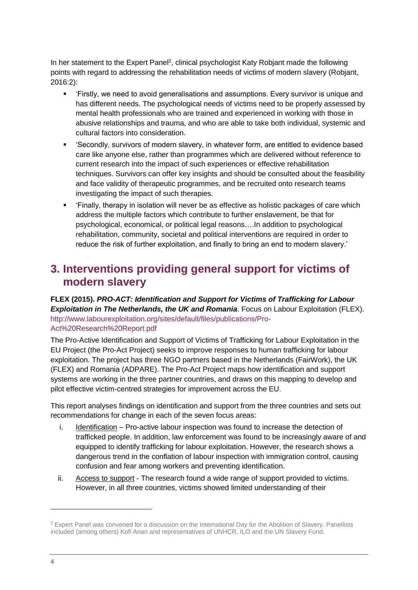In her statement to the Expert Panel<sup>2</sup>, clinical psychologist Katy Robjant made the following points with regard to addressing the rehabilitation needs of victims of modern slavery (Robjant, 2016:2):

- 'Firstly, we need to avoid generalisations and assumptions. Every survivor is unique and has different needs. The psychological needs of victims need to be properly assessed by mental health professionals who are trained and experienced in working with those in abusive relationships and trauma, and who are able to take both individual, systemic and cultural factors into consideration.
- 'Secondly, survivors of modern slavery, in whatever form, are entitled to evidence based care like anyone else, rather than programmes which are delivered without reference to current research into the impact of such experiences or effective rehabilitation techniques. Survivors can offer key insights and should be consulted about the feasibility and face validity of therapeutic programmes, and be recruited onto research teams investigating the impact of such therapies.
- 'Finally, therapy in isolation will never be as effective as holistic packages of care which address the multiple factors which contribute to further enslavement, be that for psychological, economical, or political legal reasons….In addition to psychological rehabilitation, community, societal and political interventions are required in order to reduce the risk of further exploitation, and finally to bring an end to modern slavery.'

### <span id="page-3-0"></span>**3. Interventions providing general support for victims of modern slavery**

**FLEX (2015).** *PRO-ACT: Identification and Support for Victims of Trafficking for Labour Exploitation in The Netherlands, the UK and Romania*. Focus on Labour Exploitation (FLEX). [http://www.labourexploitation.org/sites/default/files/publications/Pro-](http://www.labourexploitation.org/sites/default/files/publications/Pro-Act%20Research%20Report.pdf)[Act%20Research%20Report.pdf](http://www.labourexploitation.org/sites/default/files/publications/Pro-Act%20Research%20Report.pdf)

The Pro-Active Identification and Support of Victims of Trafficking for Labour Exploitation in the EU Project (the Pro-Act Project) seeks to improve responses to human trafficking for labour exploitation. The project has three NGO partners based in the Netherlands (FairWork), the UK (FLEX) and Romania (ADPARE). The Pro-Act Project maps how identification and support systems are working in the three partner countries, and draws on this mapping to develop and pilot effective victim-centred strategies for improvement across the EU.

This report analyses findings on identification and support from the three countries and sets out recommendations for change in each of the seven focus areas:

- i. Identification Pro-active labour inspection was found to increase the detection of trafficked people. In addition, law enforcement was found to be increasingly aware of and equipped to identify trafficking for labour exploitation. However, the research shows a dangerous trend in the conflation of labour inspection with immigration control, causing confusion and fear among workers and preventing identification.
- ii. Access to support The research found a wide range of support provided to victims. However, in all three countries, victims showed limited understanding of their

<sup>&</sup>lt;sup>2</sup> Expert Panel was convened for a discussion on the International Day for the Abolition of Slavery. Panellists included (among others) Kofi Anan and representatives of UNHCR, ILO and the UN Slavery Fund.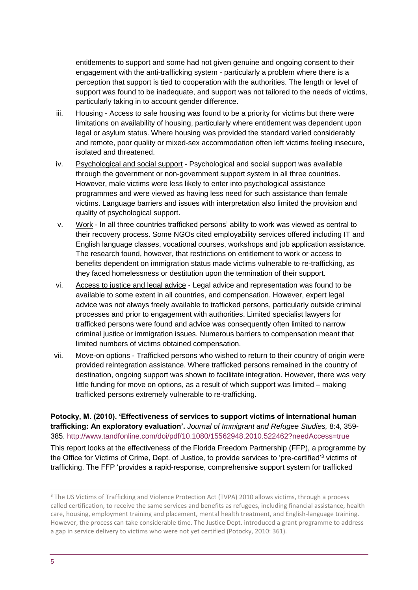entitlements to support and some had not given genuine and ongoing consent to their engagement with the anti-trafficking system - particularly a problem where there is a perception that support is tied to cooperation with the authorities. The length or level of support was found to be inadequate, and support was not tailored to the needs of victims, particularly taking in to account gender difference.

- iii. Housing Access to safe housing was found to be a priority for victims but there were limitations on availability of housing, particularly where entitlement was dependent upon legal or asylum status. Where housing was provided the standard varied considerably and remote, poor quality or mixed-sex accommodation often left victims feeling insecure, isolated and threatened.
- iv. Psychological and social support Psychological and social support was available through the government or non-government support system in all three countries. However, male victims were less likely to enter into psychological assistance programmes and were viewed as having less need for such assistance than female victims. Language barriers and issues with interpretation also limited the provision and quality of psychological support.
- v. Work In all three countries trafficked persons' ability to work was viewed as central to their recovery process. Some NGOs cited employability services offered including IT and English language classes, vocational courses, workshops and job application assistance. The research found, however, that restrictions on entitlement to work or access to benefits dependent on immigration status made victims vulnerable to re-trafficking, as they faced homelessness or destitution upon the termination of their support.
- vi. Access to justice and legal advice Legal advice and representation was found to be available to some extent in all countries, and compensation. However, expert legal advice was not always freely available to trafficked persons, particularly outside criminal processes and prior to engagement with authorities. Limited specialist lawyers for trafficked persons were found and advice was consequently often limited to narrow criminal justice or immigration issues. Numerous barriers to compensation meant that limited numbers of victims obtained compensation.
- vii. Move-on options Trafficked persons who wished to return to their country of origin were provided reintegration assistance. Where trafficked persons remained in the country of destination, ongoing support was shown to facilitate integration. However, there was very little funding for move on options, as a result of which support was limited – making trafficked persons extremely vulnerable to re-trafficking.

**Potocky, M. (2010). 'Effectiveness of services to support victims of international human trafficking: An exploratory evaluation'.** *Journal of Immigrant and Refugee Studies,* 8:4, 359- 385.<http://www.tandfonline.com/doi/pdf/10.1080/15562948.2010.522462?needAccess=true>

This report looks at the effectiveness of the Florida Freedom Partnership (FFP), a programme by the Office for Victims of Crime, Dept. of Justice, to provide services to 'pre-certified'<sup>3</sup> victims of trafficking. The FFP 'provides a rapid-response, comprehensive support system for trafficked

<sup>&</sup>lt;sup>3</sup> The US Victims of Trafficking and Violence Protection Act (TVPA) 2010 allows victims, through a process called certification, to receive the same services and benefits as refugees, including financial assistance, health care, housing, employment training and placement, mental health treatment, and English-language training. However, the process can take considerable time. The Justice Dept. introduced a grant programme to address a gap in service delivery to victims who were not yet certified (Potocky, 2010: 361).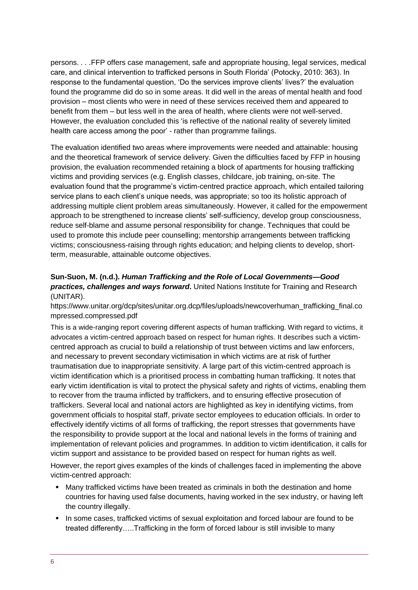persons. *. . .*FFP offers case management, safe and appropriate housing, legal services, medical care, and clinical intervention to trafficked persons in South Florida' (Potocky, 2010: 363). In response to the fundamental question, 'Do the services improve clients' lives?' the evaluation found the programme did do so in some areas. It did well in the areas of mental health and food provision – most clients who were in need of these services received them and appeared to benefit from them – but less well in the area of health, where clients were not well-served. However, the evaluation concluded this 'is reflective of the national reality of severely limited health care access among the poor' - rather than programme failings.

The evaluation identified two areas where improvements were needed and attainable: housing and the theoretical framework of service delivery. Given the difficulties faced by FFP in housing provision, the evaluation recommended retaining a block of apartments for housing trafficking victims and providing services (e.g. English classes, childcare, job training, on-site. The evaluation found that the programme's victim-centred practice approach, which entailed tailoring service plans to each client's unique needs, was appropriate; so too its holistic approach of addressing multiple client problem areas simultaneously. However, it called for the empowerment approach to be strengthened to increase clients' self-sufficiency, develop group consciousness, reduce self-blame and assume personal responsibility for change. Techniques that could be used to promote this include peer counselling; mentorship arrangements between trafficking victims; consciousness-raising through rights education; and helping clients to develop, shortterm, measurable, attainable outcome objectives.

#### **Sun-Suon, M. (n.d.).** *Human Trafficking and the Role of Local Governments—Good practices, challenges and ways forward***.** United Nations Institute for Training and Research (UNITAR).

[https://www.unitar.org/dcp/sites/unitar.org.dcp/files/uploads/newcoverhuman\\_trafficking\\_final.co](https://www.unitar.org/dcp/sites/unitar.org.dcp/files/uploads/newcoverhuman_trafficking_final.compressed.compressed.pdf) [mpressed.compressed.pdf](https://www.unitar.org/dcp/sites/unitar.org.dcp/files/uploads/newcoverhuman_trafficking_final.compressed.compressed.pdf)

This is a wide-ranging report covering different aspects of human trafficking. With regard to victims, it advocates a victim-centred approach based on respect for human rights. It describes such a victimcentred approach as crucial to build a relationship of trust between victims and law enforcers, and necessary to prevent secondary victimisation in which victims are at risk of further traumatisation due to inappropriate sensitivity. A large part of this victim-centred approach is victim identification which is a prioritised process in combatting human trafficking. It notes that early victim identification is vital to protect the physical safety and rights of victims, enabling them to recover from the trauma inflicted by traffickers, and to ensuring effective prosecution of traffickers. Several local and national actors are highlighted as key in identifying victims, from government officials to hospital staff, private sector employees to education officials. In order to effectively identify victims of all forms of trafficking, the report stresses that governments have the responsibility to provide support at the local and national levels in the forms of training and implementation of relevant policies and programmes. In addition to victim identification, it calls for victim support and assistance to be provided based on respect for human rights as well.

However, the report gives examples of the kinds of challenges faced in implementing the above victim-centred approach:

- **■** Many trafficked victims have been treated as criminals in both the destination and home countries for having used false documents, having worked in the sex industry, or having left the country illegally.
- In some cases, trafficked victims of sexual exploitation and forced labour are found to be treated differently…..Trafficking in the form of forced labour is still invisible to many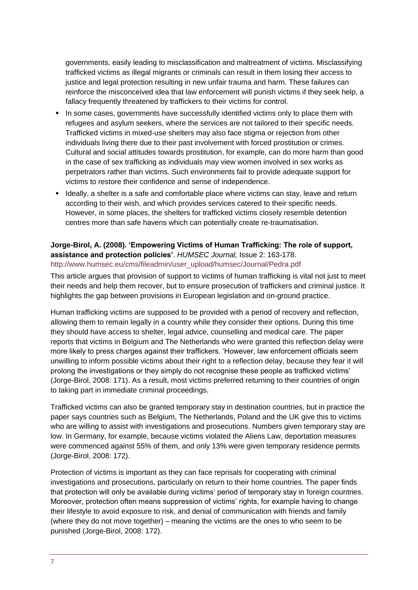governments, easily leading to misclassification and maltreatment of victims. Misclassifying trafficked victims as illegal migrants or criminals can result in them losing their access to justice and legal protection resulting in new unfair trauma and harm. These failures can reinforce the misconceived idea that law enforcement will punish victims if they seek help, a fallacy frequently threatened by traffickers to their victims for control.

- **.** In some cases, governments have successfully identified victims only to place them with refugees and asylum seekers, where the services are not tailored to their specific needs. Trafficked victims in mixed-use shelters may also face stigma or rejection from other individuals living there due to their past involvement with forced prostitution or crimes. Cultural and social attitudes towards prostitution, for example, can do more harm than good in the case of sex trafficking as individuals may view women involved in sex works as perpetrators rather than victims. Such environments fail to provide adequate support for victims to restore their confidence and sense of independence.
- **EXECT** Ideally, a shelter is a safe and comfortable place where victims can stay, leave and return according to their wish, and which provides services catered to their specific needs. However, in some places, the shelters for trafficked victims closely resemble detention centres more than safe havens which can potentially create re-traumatisation.

#### **Jorge-Birol, A. (2008). 'Empowering Victims of Human Trafficking: The role of support, assistance and protection policies'**. *HUMSEC Journal,* Issue 2: 163-178. [http://www.humsec.eu/cms/fileadmin/user\\_upload/humsec/Journal/Pedra.pdf](http://www.humsec.eu/cms/fileadmin/user_upload/humsec/Journal/Pedra.pdf)

This article argues that provision of support to victims of human trafficking is vital not just to meet their needs and help them recover, but to ensure prosecution of traffickers and criminal justice. It highlights the gap between provisions in European legislation and on-ground practice.

Human trafficking victims are supposed to be provided with a period of recovery and reflection, allowing them to remain legally in a country while they consider their options. During this time they should have access to shelter, legal advice, counselling and medical care. The paper reports that victims in Belgium and The Netherlands who were granted this reflection delay were more likely to press charges against their traffickers. 'However, law enforcement officials seem unwilling to inform possible victims about their right to a reflection delay, because they fear it will prolong the investigations or they simply do not recognise these people as trafficked victims' (Jorge-Birol, 2008: 171). As a result, most victims preferred returning to their countries of origin to taking part in immediate criminal proceedings.

Trafficked victims can also be granted temporary stay in destination countries, but in practice the paper says countries such as Belgium, The Netherlands, Poland and the UK give this to victims who are willing to assist with investigations and prosecutions. Numbers given temporary stay are low. In Germany, for example, because victims violated the Aliens Law, deportation measures were commenced against 55% of them, and only 13% were given temporary residence permits (Jorge-Birol, 2008: 172).

Protection of victims is important as they can face reprisals for cooperating with criminal investigations and prosecutions, particularly on return to their home countries. The paper finds that protection will only be available during victims' period of temporary stay in foreign countries. Moreover, protection often means suppression of victims' rights, for example having to change their lifestyle to avoid exposure to risk, and denial of communication with friends and family (where they do not move together) – meaning the victims are the ones to who seem to be punished (Jorge-Birol, 2008: 172).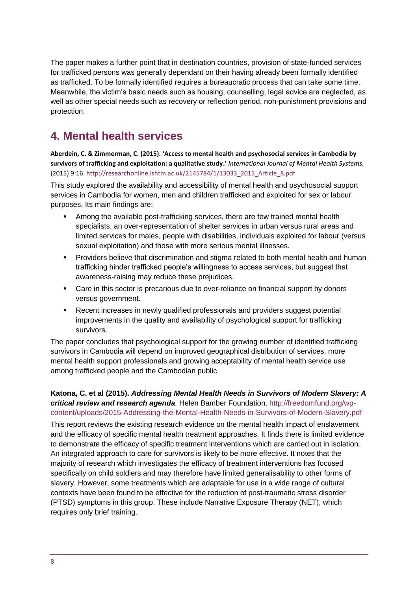The paper makes a further point that in destination countries, provision of state-funded services for trafficked persons was generally dependant on their having already been formally identified as trafficked. To be formally identified requires a bureaucratic process that can take some time. Meanwhile, the victim's basic needs such as housing, counselling, legal advice are neglected, as well as other special needs such as recovery or reflection period, non-punishment provisions and protection.

# <span id="page-7-0"></span>**4. Mental health services**

**Aberdein, C. & Zimmerman, C. (2015). 'Access to mental health and psychosocial services in Cambodia by survivors of trafficking and exploitation: a qualitative study.'** *International Journal of Mental Health Systems,* (2015) 9:16. [http://researchonline.lshtm.ac.uk/2145784/1/13033\\_2015\\_Article\\_8.pdf](http://researchonline.lshtm.ac.uk/2145784/1/13033_2015_Article_8.pdf)

This study explored the availability and accessibility of mental health and psychosocial support services in Cambodia for women, men and children trafficked and exploited for sex or labour purposes. Its main findings are:

- Among the available post-trafficking services, there are few trained mental health specialists, an over-representation of shelter services in urban versus rural areas and limited services for males, people with disabilities, individuals exploited for labour (versus sexual exploitation) and those with more serious mental illnesses.
- Providers believe that discrimination and stigma related to both mental health and human trafficking hinder trafficked people's willingness to access services, but suggest that awareness-raising may reduce these prejudices.
- Care in this sector is precarious due to over-reliance on financial support by donors versus government.
- Recent increases in newly qualified professionals and providers suggest potential improvements in the quality and availability of psychological support for trafficking survivors.

The paper concludes that psychological support for the growing number of identified trafficking survivors in Cambodia will depend on improved geographical distribution of services, more mental health support professionals and growing acceptability of mental health service use among trafficked people and the Cambodian public.

#### **Katona, C. et al (2015).** *Addressing Mental Health Needs in Survivors of Modern Slavery: A critical review and research agenda.* Helen Bamber Foundation. [http://freedomfund.org/wp](http://freedomfund.org/wp-content/uploads/2015-Addressing-the-Mental-Health-Needs-in-Survivors-of-Modern-Slavery.pdf)[content/uploads/2015-Addressing-the-Mental-Health-Needs-in-Survivors-of-Modern-Slavery.pdf](http://freedomfund.org/wp-content/uploads/2015-Addressing-the-Mental-Health-Needs-in-Survivors-of-Modern-Slavery.pdf)

This report reviews the existing research evidence on the mental health impact of enslavement and the efficacy of specific mental health treatment approaches. It finds there is limited evidence to demonstrate the efficacy of specific treatment interventions which are carried out in isolation. An integrated approach to care for survivors is likely to be more effective. It notes that the majority of research which investigates the efficacy of treatment interventions has focused specifically on child soldiers and may therefore have limited generalisability to other forms of slavery. However, some treatments which are adaptable for use in a wide range of cultural contexts have been found to be effective for the reduction of post-traumatic stress disorder (PTSD) symptoms in this group. These include Narrative Exposure Therapy (NET), which requires only brief training.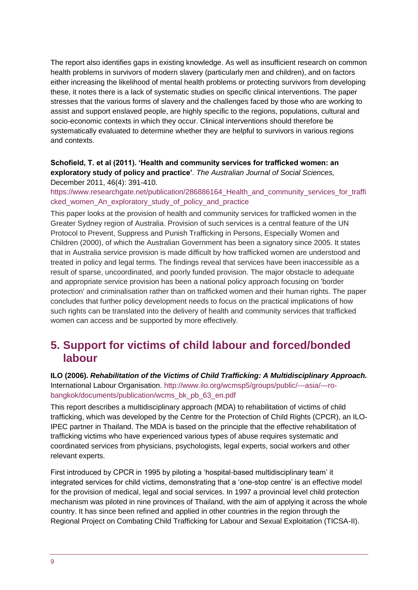The report also identifies gaps in existing knowledge. As well as insufficient research on common health problems in survivors of modern slavery (particularly men and children), and on factors either increasing the likelihood of mental health problems or protecting survivors from developing these, it notes there is a lack of systematic studies on specific clinical interventions. The paper stresses that the various forms of slavery and the challenges faced by those who are working to assist and support enslaved people, are highly specific to the regions, populations, cultural and socio-economic contexts in which they occur. Clinical interventions should therefore be systematically evaluated to determine whether they are helpful to survivors in various regions and contexts.

#### **Schofield, T. et al (2011). 'Health and community services for trafficked women: an exploratory study of policy and practice'**. *The Australian Journal of Social Sciences,*  December 2011, 46(4): 391-410.

https://www.researchgate.net/publication/286886164 Health\_and\_community\_services\_for\_traffi [cked\\_women\\_An\\_exploratory\\_study\\_of\\_policy\\_and\\_practice](https://www.researchgate.net/publication/286886164_Health_and_community_services_for_trafficked_women_An_exploratory_study_of_policy_and_practice)

This paper looks at the provision of health and community services for trafficked women in the Greater Sydney region of Australia. Provision of such services is a central feature of the UN Protocol to Prevent, Suppress and Punish Trafficking in Persons, Especially Women and Children (2000), of which the Australian Government has been a signatory since 2005. It states that in Australia service provision is made difficult by how trafficked women are understood and treated in policy and legal terms. The findings reveal that services have been inaccessible as a result of sparse, uncoordinated, and poorly funded provision. The major obstacle to adequate and appropriate service provision has been a national policy approach focusing on 'border protection' and criminalisation rather than on trafficked women and their human rights. The paper concludes that further policy development needs to focus on the practical implications of how such rights can be translated into the delivery of health and community services that trafficked women can access and be supported by more effectively.

### <span id="page-8-0"></span>**5. Support for victims of child labour and forced/bonded labour**

#### **ILO (2006).** *Rehabilitation of the Victims of Child Trafficking: A Multidisciplinary Approach.* International Labour Organisation. [http://www.ilo.org/wcmsp5/groups/public/---asia/---ro](http://www.ilo.org/wcmsp5/groups/public/---asia/---ro-bangkok/documents/publication/wcms_bk_pb_63_en.pdf)[bangkok/documents/publication/wcms\\_bk\\_pb\\_63\\_en.pdf](http://www.ilo.org/wcmsp5/groups/public/---asia/---ro-bangkok/documents/publication/wcms_bk_pb_63_en.pdf)

This report describes a multidisciplinary approach (MDA) to rehabilitation of victims of child trafficking, which was developed by the Centre for the Protection of Child Rights (CPCR), an ILO-IPEC partner in Thailand. The MDA is based on the principle that the effective rehabilitation of trafficking victims who have experienced various types of abuse requires systematic and coordinated services from physicians, psychologists, legal experts, social workers and other relevant experts.

First introduced by CPCR in 1995 by piloting a 'hospital-based multidisciplinary team' it integrated services for child victims, demonstrating that a 'one-stop centre' is an effective model for the provision of medical, legal and social services. In 1997 a provincial level child protection mechanism was piloted in nine provinces of Thailand, with the aim of applying it across the whole country. It has since been refined and applied in other countries in the region through the Regional Project on Combating Child Trafficking for Labour and Sexual Exploitation (TICSA-II).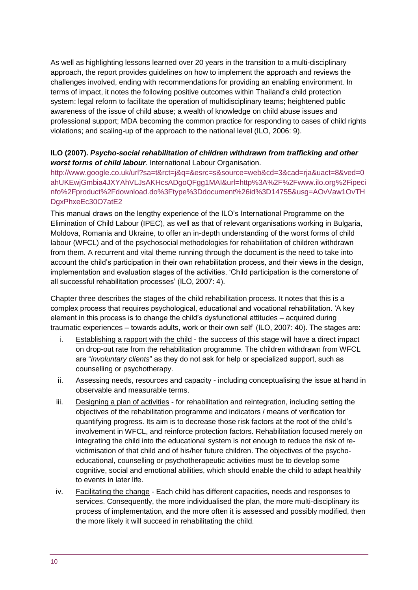As well as highlighting lessons learned over 20 years in the transition to a multi-disciplinary approach, the report provides guidelines on how to implement the approach and reviews the challenges involved, ending with recommendations for providing an enabling environment. In terms of impact, it notes the following positive outcomes within Thailand's child protection system: legal reform to facilitate the operation of multidisciplinary teams; heightened public awareness of the issue of child abuse; a wealth of knowledge on child abuse issues and professional support; MDA becoming the common practice for responding to cases of child rights violations; and scaling-up of the approach to the national level (ILO, 2006: 9).

#### **ILO (2007).** *Psycho-social rehabilitation of children withdrawn from trafficking and other worst forms of child labour.* International Labour Organisation.

[http://www.google.co.uk/url?sa=t&rct=j&q=&esrc=s&source=web&cd=3&cad=rja&uact=8&ved=0](http://www.google.co.uk/url?sa=t&rct=j&q=&esrc=s&source=web&cd=3&cad=rja&uact=8&ved=0ahUKEwjGmbia4JXYAhVLJsAKHcsADgoQFgg1MAI&url=http%3A%2F%2Fwww.ilo.org%2Fipecinfo%2Fproduct%2Fdownload.do%3Ftype%3Ddocument%26id%3D14755&usg=AOvVaw1OvTHDgxPhxeEc30O7atE2) [ahUKEwjGmbia4JXYAhVLJsAKHcsADgoQFgg1MAI&url=http%3A%2F%2Fwww.ilo.org%2Fipeci](http://www.google.co.uk/url?sa=t&rct=j&q=&esrc=s&source=web&cd=3&cad=rja&uact=8&ved=0ahUKEwjGmbia4JXYAhVLJsAKHcsADgoQFgg1MAI&url=http%3A%2F%2Fwww.ilo.org%2Fipecinfo%2Fproduct%2Fdownload.do%3Ftype%3Ddocument%26id%3D14755&usg=AOvVaw1OvTHDgxPhxeEc30O7atE2) [nfo%2Fproduct%2Fdownload.do%3Ftype%3Ddocument%26id%3D14755&usg=AOvVaw1OvTH](http://www.google.co.uk/url?sa=t&rct=j&q=&esrc=s&source=web&cd=3&cad=rja&uact=8&ved=0ahUKEwjGmbia4JXYAhVLJsAKHcsADgoQFgg1MAI&url=http%3A%2F%2Fwww.ilo.org%2Fipecinfo%2Fproduct%2Fdownload.do%3Ftype%3Ddocument%26id%3D14755&usg=AOvVaw1OvTHDgxPhxeEc30O7atE2) [DgxPhxeEc30O7atE2](http://www.google.co.uk/url?sa=t&rct=j&q=&esrc=s&source=web&cd=3&cad=rja&uact=8&ved=0ahUKEwjGmbia4JXYAhVLJsAKHcsADgoQFgg1MAI&url=http%3A%2F%2Fwww.ilo.org%2Fipecinfo%2Fproduct%2Fdownload.do%3Ftype%3Ddocument%26id%3D14755&usg=AOvVaw1OvTHDgxPhxeEc30O7atE2)

This manual draws on the lengthy experience of the ILO's International Programme on the Elimination of Child Labour (IPEC), as well as that of relevant organisations working in Bulgaria, Moldova, Romania and Ukraine, to offer an in-depth understanding of the worst forms of child labour (WFCL) and of the psychosocial methodologies for rehabilitation of children withdrawn from them. A recurrent and vital theme running through the document is the need to take into account the child's participation in their own rehabilitation process, and their views in the design, implementation and evaluation stages of the activities. 'Child participation is the cornerstone of all successful rehabilitation processes' (ILO, 2007: 4).

Chapter three describes the stages of the child rehabilitation process. It notes that this is a complex process that requires psychological, educational and vocational rehabilitation. 'A key element in this process is to change the child's dysfunctional attitudes – acquired during traumatic experiences – towards adults, work or their own self' (ILO, 2007: 40). The stages are:

- i. Establishing a rapport with the child the success of this stage will have a direct impact on drop-out rate from the rehabilitation programme. The children withdrawn from WFCL are "*involuntary clients*" as they do not ask for help or specialized support, such as counselling or psychotherapy.
- ii. Assessing needs, resources and capacity including conceptualising the issue at hand in observable and measurable terms.
- iii. Designing a plan of activities for rehabilitation and reintegration, including setting the objectives of the rehabilitation programme and indicators / means of verification for quantifying progress. Its aim is to decrease those risk factors at the root of the child's involvement in WFCL, and reinforce protection factors. Rehabilitation focused merely on integrating the child into the educational system is not enough to reduce the risk of revictimisation of that child and of his/her future children. The objectives of the psychoeducational, counselling or psychotherapeutic activities must be to develop some cognitive, social and emotional abilities, which should enable the child to adapt healthily to events in later life.
- iv. Facilitating the change Each child has different capacities, needs and responses to services. Consequently, the more individualised the plan, the more multi-disciplinary its process of implementation, and the more often it is assessed and possibly modified, then the more likely it will succeed in rehabilitating the child.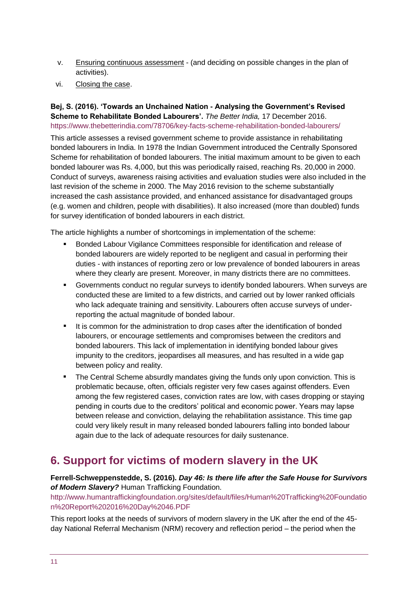- v. Ensuring continuous assessment (and deciding on possible changes in the plan of activities).
- vi. Closing the case.

#### **Bej, S. (2016). 'Towards an Unchained Nation - Analysing the Government's Revised Scheme to Rehabilitate Bonded Labourers'.** *The Better India,* 17 December 2016. <https://www.thebetterindia.com/78706/key-facts-scheme-rehabilitation-bonded-labourers/>

This article assesses a revised government scheme to provide assistance in rehabilitating bonded labourers in India. In 1978 the Indian Government introduced the Centrally Sponsored Scheme for rehabilitation of bonded labourers. The initial maximum amount to be given to each bonded labourer was Rs. 4,000, but this was periodically raised, reaching Rs. 20,000 in 2000. Conduct of surveys, awareness raising activities and evaluation studies were also included in the last revision of the scheme in 2000. The May 2016 revision to the scheme substantially increased the cash assistance provided, and enhanced assistance for disadvantaged groups (e.g. women and children, people with disabilities). It also increased (more than doubled) funds for survey identification of bonded labourers in each district.

The article highlights a number of shortcomings in implementation of the scheme:

- Bonded Labour Vigilance Committees responsible for identification and release of bonded labourers are widely reported to be negligent and casual in performing their duties - with instances of reporting zero or low prevalence of bonded labourers in areas where they clearly are present. Moreover, in many districts there are no committees.
- Governments conduct no regular surveys to identify bonded labourers. When surveys are conducted these are limited to a few districts, and carried out by lower ranked officials who lack adequate training and sensitivity. Labourers often accuse surveys of underreporting the actual magnitude of bonded labour.
- It is common for the administration to drop cases after the identification of bonded labourers, or encourage settlements and compromises between the creditors and bonded labourers. This lack of implementation in identifying bonded labour gives impunity to the creditors, jeopardises all measures, and has resulted in a wide gap between policy and reality.
- The Central Scheme absurdly mandates giving the funds only upon conviction. This is problematic because, often, officials register very few cases against offenders. Even among the few registered cases, conviction rates are low, with cases dropping or staying pending in courts due to the creditors' political and economic power. Years may lapse between release and conviction, delaying the rehabilitation assistance. This time gap could very likely result in many released bonded labourers falling into bonded labour again due to the lack of adequate resources for daily sustenance.

### <span id="page-10-0"></span>**6. Support for victims of modern slavery in the UK**

**Ferrell-Schweppenstedde, S. (2016).** *Day 46: Is there life after the Safe House for Survivors of Modern Slavery?* Human Trafficking Foundation.

[http://www.humantraffickingfoundation.org/sites/default/files/Human%20Trafficking%20Foundatio](http://www.humantraffickingfoundation.org/sites/default/files/Human%20Trafficking%20Foundation%20Report%202016%20Day%2046.PDF) [n%20Report%202016%20Day%2046.PDF](http://www.humantraffickingfoundation.org/sites/default/files/Human%20Trafficking%20Foundation%20Report%202016%20Day%2046.PDF)

This report looks at the needs of survivors of modern slavery in the UK after the end of the 45 day National Referral Mechanism (NRM) recovery and reflection period – the period when the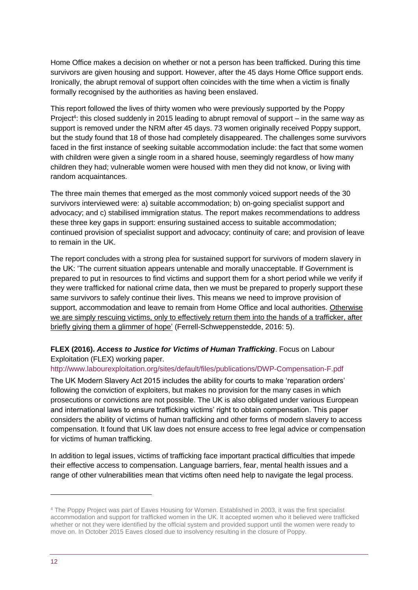Home Office makes a decision on whether or not a person has been trafficked. During this time survivors are given housing and support. However, after the 45 days Home Office support ends. Ironically, the abrupt removal of support often coincides with the time when a victim is finally formally recognised by the authorities as having been enslaved.

This report followed the lives of thirty women who were previously supported by the Poppy Project<sup>4</sup>: this closed suddenly in 2015 leading to abrupt removal of support – in the same way as support is removed under the NRM after 45 days. 73 women originally received Poppy support, but the study found that 18 of those had completely disappeared. The challenges some survivors faced in the first instance of seeking suitable accommodation include: the fact that some women with children were given a single room in a shared house, seemingly regardless of how many children they had; vulnerable women were housed with men they did not know, or living with random acquaintances.

The three main themes that emerged as the most commonly voiced support needs of the 30 survivors interviewed were: a) suitable accommodation; b) on-going specialist support and advocacy; and c) stabilised immigration status. The report makes recommendations to address these three key gaps in support: ensuring sustained access to suitable accommodation; continued provision of specialist support and advocacy; continuity of care; and provision of leave to remain in the UK.

The report concludes with a strong plea for sustained support for survivors of modern slavery in the UK: 'The current situation appears untenable and morally unacceptable. If Government is prepared to put in resources to find victims and support them for a short period while we verify if they were trafficked for national crime data, then we must be prepared to properly support these same survivors to safely continue their lives. This means we need to improve provision of support, accommodation and leave to remain from Home Office and local authorities. Otherwise we are simply rescuing victims, only to effectively return them into the hands of a trafficker, after briefly giving them a glimmer of hope' (Ferrell-Schweppenstedde, 2016: 5).

#### **FLEX (2016).** *Access to Justice for Victims of Human Trafficking*. Focus on Labour Exploitation (FLEX) working paper.

#### <http://www.labourexploitation.org/sites/default/files/publications/DWP-Compensation-F.pdf>

The UK Modern Slavery Act 2015 includes the ability for courts to make 'reparation orders' following the conviction of exploiters, but makes no provision for the many cases in which prosecutions or convictions are not possible. The UK is also obligated under various European and international laws to ensure trafficking victims' right to obtain compensation. This paper considers the ability of victims of human trafficking and other forms of modern slavery to access compensation. It found that UK law does not ensure access to free legal advice or compensation for victims of human trafficking.

In addition to legal issues, victims of trafficking face important practical difficulties that impede their effective access to compensation. Language barriers, fear, mental health issues and a range of other vulnerabilities mean that victims often need help to navigate the legal process.

-

<sup>4</sup> The Poppy Project was part of Eaves Housing for Women. Established in 2003, it was the first specialist accommodation and support for trafficked women in the UK. It accepted women who it believed were trafficked whether or not they were identified by the official system and provided support until the women were ready to move on. In October 2015 Eaves closed due to insolvency resulting in the closure of Poppy.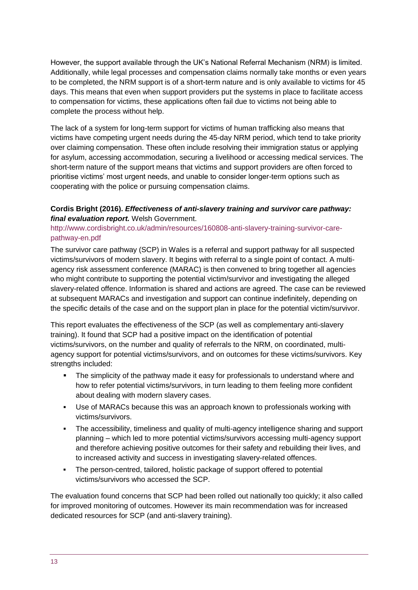However, the support available through the UK's National Referral Mechanism (NRM) is limited. Additionally, while legal processes and compensation claims normally take months or even years to be completed, the NRM support is of a short-term nature and is only available to victims for 45 days. This means that even when support providers put the systems in place to facilitate access to compensation for victims, these applications often fail due to victims not being able to complete the process without help.

The lack of a system for long-term support for victims of human trafficking also means that victims have competing urgent needs during the 45-day NRM period, which tend to take priority over claiming compensation. These often include resolving their immigration status or applying for asylum, accessing accommodation, securing a livelihood or accessing medical services. The short-term nature of the support means that victims and support providers are often forced to prioritise victims' most urgent needs, and unable to consider longer-term options such as cooperating with the police or pursuing compensation claims.

#### **Cordis Bright (2016).** *Effectiveness of anti-slavery training and survivor care pathway: final evaluation report.* Welsh Government.

#### [http://www.cordisbright.co.uk/admin/resources/160808-anti-slavery-training-survivor-care](http://www.cordisbright.co.uk/admin/resources/160808-anti-slavery-training-survivor-care-pathway-en.pdf)[pathway-en.pdf](http://www.cordisbright.co.uk/admin/resources/160808-anti-slavery-training-survivor-care-pathway-en.pdf)

The survivor care pathway (SCP) in Wales is a referral and support pathway for all suspected victims/survivors of modern slavery. It begins with referral to a single point of contact. A multiagency risk assessment conference (MARAC) is then convened to bring together all agencies who might contribute to supporting the potential victim/survivor and investigating the alleged slavery-related offence. Information is shared and actions are agreed. The case can be reviewed at subsequent MARACs and investigation and support can continue indefinitely, depending on the specific details of the case and on the support plan in place for the potential victim/survivor.

This report evaluates the effectiveness of the SCP (as well as complementary anti-slavery training). It found that SCP had a positive impact on the identification of potential victims/survivors, on the number and quality of referrals to the NRM, on coordinated, multiagency support for potential victims/survivors, and on outcomes for these victims/survivors. Key strengths included:

- **•** The simplicity of the pathway made it easy for professionals to understand where and how to refer potential victims/survivors, in turn leading to them feeling more confident about dealing with modern slavery cases.
- Use of MARACs because this was an approach known to professionals working with victims/survivors.
- The accessibility, timeliness and quality of multi-agency intelligence sharing and support planning – which led to more potential victims/survivors accessing multi-agency support and therefore achieving positive outcomes for their safety and rebuilding their lives, and to increased activity and success in investigating slavery-related offences.
- The person-centred, tailored, holistic package of support offered to potential victims/survivors who accessed the SCP.

The evaluation found concerns that SCP had been rolled out nationally too quickly; it also called for improved monitoring of outcomes. However its main recommendation was for increased dedicated resources for SCP (and anti-slavery training).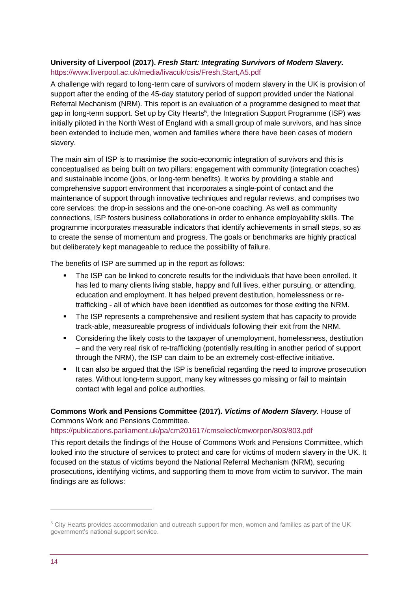#### **University of Liverpool (2017).** *Fresh Start: Integrating Survivors of Modern Slavery.* <https://www.liverpool.ac.uk/media/livacuk/csis/Fresh,Start,A5.pdf>

A challenge with regard to long-term care of survivors of modern slavery in the UK is provision of support after the ending of the 45-day statutory period of support provided under the National Referral Mechanism (NRM). This report is an evaluation of a programme designed to meet that gap in long-term support. Set up by City Hearts<sup>5</sup>, the Integration Support Programme (ISP) was initially piloted in the North West of England with a small group of male survivors, and has since been extended to include men, women and families where there have been cases of modern slavery.

The main aim of ISP is to maximise the socio-economic integration of survivors and this is conceptualised as being built on two pillars: engagement with community (integration coaches) and sustainable income (jobs, or long-term benefits). It works by providing a stable and comprehensive support environment that incorporates a single-point of contact and the maintenance of support through innovative techniques and regular reviews, and comprises two core services: the drop-in sessions and the one-on-one coaching. As well as community connections, ISP fosters business collaborations in order to enhance employability skills. The programme incorporates measurable indicators that identify achievements in small steps, so as to create the sense of momentum and progress. The goals or benchmarks are highly practical but deliberately kept manageable to reduce the possibility of failure.

The benefits of ISP are summed up in the report as follows:

- The ISP can be linked to concrete results for the individuals that have been enrolled. It has led to many clients living stable, happy and full lives, either pursuing, or attending, education and employment. It has helped prevent destitution, homelessness or retrafficking - all of which have been identified as outcomes for those exiting the NRM.
- The ISP represents a comprehensive and resilient system that has capacity to provide track-able, measureable progress of individuals following their exit from the NRM.
- **•** Considering the likely costs to the taxpayer of unemployment, homelessness, destitution – and the very real risk of re-trafficking (potentially resulting in another period of support through the NRM), the ISP can claim to be an extremely cost-effective initiative.
- It can also be argued that the ISP is beneficial regarding the need to improve prosecution rates. Without long-term support, many key witnesses go missing or fail to maintain contact with legal and police authorities.

#### **Commons Work and Pensions Committee (2017).** *Victims of Modern Slavery.* House of Commons Work and Pensions Committee.

#### <https://publications.parliament.uk/pa/cm201617/cmselect/cmworpen/803/803.pdf>

This report details the findings of the House of Commons Work and Pensions Committee, which looked into the structure of services to protect and care for victims of modern slavery in the UK. It focused on the status of victims beyond the National Referral Mechanism (NRM), securing prosecutions, identifying victims, and supporting them to move from victim to survivor. The main findings are as follows:

<sup>5</sup> City Hearts provides accommodation and outreach support for men, women and families as part of the UK government's national support service.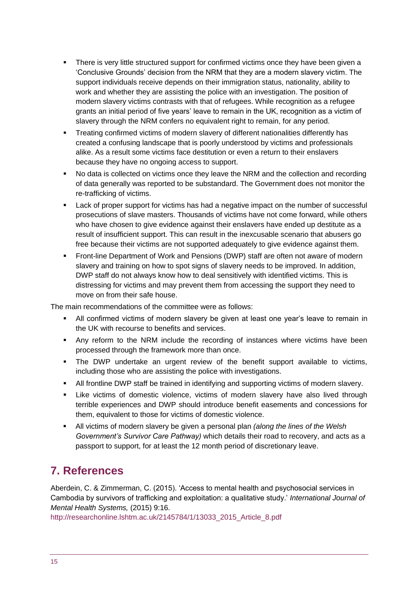- **•** There is very little structured support for confirmed victims once they have been given a 'Conclusive Grounds' decision from the NRM that they are a modern slavery victim. The support individuals receive depends on their immigration status, nationality, ability to work and whether they are assisting the police with an investigation. The position of modern slavery victims contrasts with that of refugees. While recognition as a refugee grants an initial period of five years' leave to remain in the UK, recognition as a victim of slavery through the NRM confers no equivalent right to remain, for any period.
- Treating confirmed victims of modern slavery of different nationalities differently has created a confusing landscape that is poorly understood by victims and professionals alike. As a result some victims face destitution or even a return to their enslavers because they have no ongoing access to support.
- No data is collected on victims once they leave the NRM and the collection and recording of data generally was reported to be substandard. The Government does not monitor the re-trafficking of victims.
- Lack of proper support for victims has had a negative impact on the number of successful prosecutions of slave masters. Thousands of victims have not come forward, while others who have chosen to give evidence against their enslavers have ended up destitute as a result of insufficient support. This can result in the inexcusable scenario that abusers go free because their victims are not supported adequately to give evidence against them.
- **Front-line Department of Work and Pensions (DWP) staff are often not aware of modern** slavery and training on how to spot signs of slavery needs to be improved. In addition, DWP staff do not always know how to deal sensitively with identified victims. This is distressing for victims and may prevent them from accessing the support they need to move on from their safe house.

The main recommendations of the committee were as follows:

- All confirmed victims of modern slavery be given at least one year's leave to remain in the UK with recourse to benefits and services.
- Any reform to the NRM include the recording of instances where victims have been processed through the framework more than once.
- The DWP undertake an urgent review of the benefit support available to victims, including those who are assisting the police with investigations.
- All frontline DWP staff be trained in identifying and supporting victims of modern slavery.
- **EXECT** Like victims of domestic violence, victims of modern slavery have also lived through terrible experiences and DWP should introduce benefit easements and concessions for them, equivalent to those for victims of domestic violence.
- All victims of modern slavery be given a personal plan *(along the lines of the Welsh Government's Survivor Care Pathway)* which details their road to recovery, and acts as a passport to support, for at least the 12 month period of discretionary leave.

# <span id="page-14-0"></span>**7. References**

Aberdein, C. & Zimmerman, C. (2015). 'Access to mental health and psychosocial services in Cambodia by survivors of trafficking and exploitation: a qualitative study.' *International Journal of Mental Health Systems,* (2015) 9:16.

[http://researchonline.lshtm.ac.uk/2145784/1/13033\\_2015\\_Article\\_8.pdf](http://researchonline.lshtm.ac.uk/2145784/1/13033_2015_Article_8.pdf)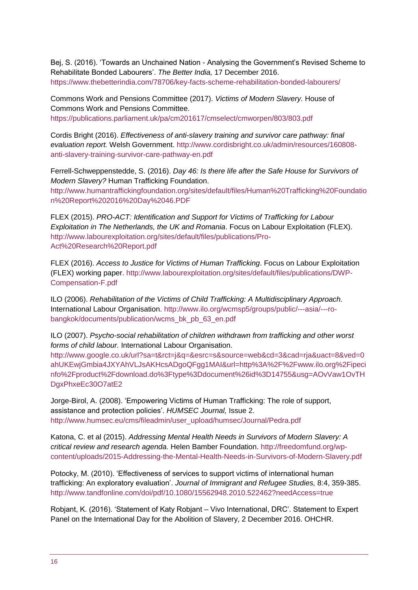Bej, S. (2016). 'Towards an Unchained Nation - Analysing the Government's Revised Scheme to Rehabilitate Bonded Labourers'. *The Better India,* 17 December 2016. <https://www.thebetterindia.com/78706/key-facts-scheme-rehabilitation-bonded-labourers/>

Commons Work and Pensions Committee (2017). *Victims of Modern Slavery.* House of Commons Work and Pensions Committee. <https://publications.parliament.uk/pa/cm201617/cmselect/cmworpen/803/803.pdf>

Cordis Bright (2016). *Effectiveness of anti-slavery training and survivor care pathway: final evaluation report.* Welsh Government. [http://www.cordisbright.co.uk/admin/resources/160808](http://www.cordisbright.co.uk/admin/resources/160808-anti-slavery-training-survivor-care-pathway-en.pdf) [anti-slavery-training-survivor-care-pathway-en.pdf](http://www.cordisbright.co.uk/admin/resources/160808-anti-slavery-training-survivor-care-pathway-en.pdf)

Ferrell-Schweppenstedde, S. (2016). *Day 46: Is there life after the Safe House for Survivors of Modern Slavery?* Human Trafficking Foundation. [http://www.humantraffickingfoundation.org/sites/default/files/Human%20Trafficking%20Foundatio](http://www.humantraffickingfoundation.org/sites/default/files/Human%20Trafficking%20Foundation%20Report%202016%20Day%2046.PDF) [n%20Report%202016%20Day%2046.PDF](http://www.humantraffickingfoundation.org/sites/default/files/Human%20Trafficking%20Foundation%20Report%202016%20Day%2046.PDF)

FLEX (2015). *PRO-ACT: Identification and Support for Victims of Trafficking for Labour Exploitation in The Netherlands, the UK and Romania*. Focus on Labour Exploitation (FLEX). [http://www.labourexploitation.org/sites/default/files/publications/Pro-](http://www.labourexploitation.org/sites/default/files/publications/Pro-Act%20Research%20Report.pdf)[Act%20Research%20Report.pdf](http://www.labourexploitation.org/sites/default/files/publications/Pro-Act%20Research%20Report.pdf)

FLEX (2016). *Access to Justice for Victims of Human Trafficking*. Focus on Labour Exploitation (FLEX) working paper. [http://www.labourexploitation.org/sites/default/files/publications/DWP-](http://www.labourexploitation.org/sites/default/files/publications/DWP-Compensation-F.pdf)[Compensation-F.pdf](http://www.labourexploitation.org/sites/default/files/publications/DWP-Compensation-F.pdf)

ILO (2006). *Rehabilitation of the Victims of Child Trafficking: A Multidisciplinary Approach.* International Labour Organisation. [http://www.ilo.org/wcmsp5/groups/public/---asia/---ro](http://www.ilo.org/wcmsp5/groups/public/---asia/---ro-bangkok/documents/publication/wcms_bk_pb_63_en.pdf)[bangkok/documents/publication/wcms\\_bk\\_pb\\_63\\_en.pdf](http://www.ilo.org/wcmsp5/groups/public/---asia/---ro-bangkok/documents/publication/wcms_bk_pb_63_en.pdf)

ILO (2007). *Psycho-social rehabilitation of children withdrawn from trafficking and other worst forms of child labour.* International Labour Organisation.

[http://www.google.co.uk/url?sa=t&rct=j&q=&esrc=s&source=web&cd=3&cad=rja&uact=8&ved=0](http://www.google.co.uk/url?sa=t&rct=j&q=&esrc=s&source=web&cd=3&cad=rja&uact=8&ved=0ahUKEwjGmbia4JXYAhVLJsAKHcsADgoQFgg1MAI&url=http%3A%2F%2Fwww.ilo.org%2Fipecinfo%2Fproduct%2Fdownload.do%3Ftype%3Ddocument%26id%3D14755&usg=AOvVaw1OvTHDgxPhxeEc30O7atE2) [ahUKEwjGmbia4JXYAhVLJsAKHcsADgoQFgg1MAI&url=http%3A%2F%2Fwww.ilo.org%2Fipeci](http://www.google.co.uk/url?sa=t&rct=j&q=&esrc=s&source=web&cd=3&cad=rja&uact=8&ved=0ahUKEwjGmbia4JXYAhVLJsAKHcsADgoQFgg1MAI&url=http%3A%2F%2Fwww.ilo.org%2Fipecinfo%2Fproduct%2Fdownload.do%3Ftype%3Ddocument%26id%3D14755&usg=AOvVaw1OvTHDgxPhxeEc30O7atE2) [nfo%2Fproduct%2Fdownload.do%3Ftype%3Ddocument%26id%3D14755&usg=AOvVaw1OvTH](http://www.google.co.uk/url?sa=t&rct=j&q=&esrc=s&source=web&cd=3&cad=rja&uact=8&ved=0ahUKEwjGmbia4JXYAhVLJsAKHcsADgoQFgg1MAI&url=http%3A%2F%2Fwww.ilo.org%2Fipecinfo%2Fproduct%2Fdownload.do%3Ftype%3Ddocument%26id%3D14755&usg=AOvVaw1OvTHDgxPhxeEc30O7atE2) [DgxPhxeEc30O7atE2](http://www.google.co.uk/url?sa=t&rct=j&q=&esrc=s&source=web&cd=3&cad=rja&uact=8&ved=0ahUKEwjGmbia4JXYAhVLJsAKHcsADgoQFgg1MAI&url=http%3A%2F%2Fwww.ilo.org%2Fipecinfo%2Fproduct%2Fdownload.do%3Ftype%3Ddocument%26id%3D14755&usg=AOvVaw1OvTHDgxPhxeEc30O7atE2)

Jorge-Birol, A. (2008). 'Empowering Victims of Human Trafficking: The role of support, assistance and protection policies'. *HUMSEC Journal,* Issue 2. [http://www.humsec.eu/cms/fileadmin/user\\_upload/humsec/Journal/Pedra.pdf](http://www.humsec.eu/cms/fileadmin/user_upload/humsec/Journal/Pedra.pdf)

Katona, C. et al (2015). *Addressing Mental Health Needs in Survivors of Modern Slavery: A critical review and research agenda.* Helen Bamber Foundation. [http://freedomfund.org/wp](http://freedomfund.org/wp-content/uploads/2015-Addressing-the-Mental-Health-Needs-in-Survivors-of-Modern-Slavery.pdf)[content/uploads/2015-Addressing-the-Mental-Health-Needs-in-Survivors-of-Modern-Slavery.pdf](http://freedomfund.org/wp-content/uploads/2015-Addressing-the-Mental-Health-Needs-in-Survivors-of-Modern-Slavery.pdf)

Potocky, M. (2010). 'Effectiveness of services to support victims of international human trafficking: An exploratory evaluation'. *Journal of Immigrant and Refugee Studies,* 8:4, 359-385. <http://www.tandfonline.com/doi/pdf/10.1080/15562948.2010.522462?needAccess=true>

Robjant, K. (2016). 'Statement of Katy Robjant – Vivo International, DRC'. Statement to Expert Panel on the International Day for the Abolition of Slavery, 2 December 2016. OHCHR.